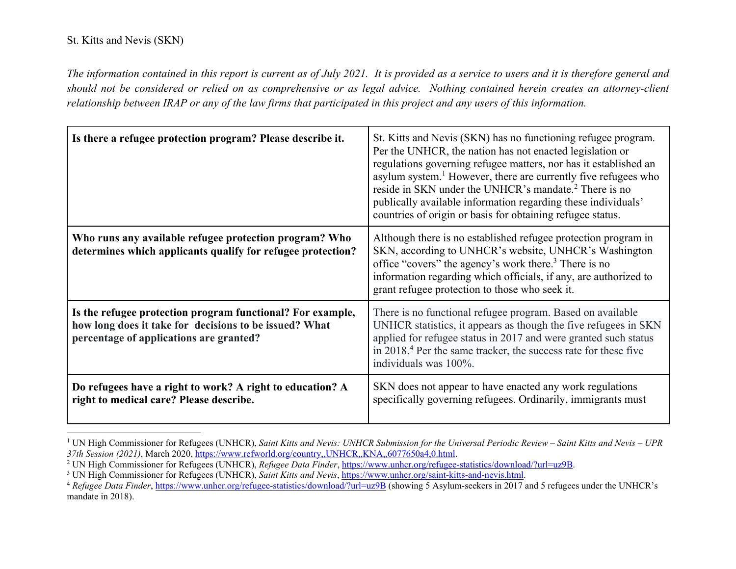*The information contained in this report is current as of July 2021. It is provided as a service to users and it is therefore general and should not be considered or relied on as comprehensive or as legal advice. Nothing contained herein creates an attorney-client relationship between IRAP or any of the law firms that participated in this project and any users of this information.* 

| Is there a refugee protection program? Please describe it.                                                                                                      | St. Kitts and Nevis (SKN) has no functioning refugee program.<br>Per the UNHCR, the nation has not enacted legislation or<br>regulations governing refugee matters, nor has it established an<br>asylum system. <sup>1</sup> However, there are currently five refugees who<br>reside in SKN under the UNHCR's mandate. <sup>2</sup> There is no<br>publically available information regarding these individuals'<br>countries of origin or basis for obtaining refugee status. |
|-----------------------------------------------------------------------------------------------------------------------------------------------------------------|---------------------------------------------------------------------------------------------------------------------------------------------------------------------------------------------------------------------------------------------------------------------------------------------------------------------------------------------------------------------------------------------------------------------------------------------------------------------------------|
| Who runs any available refugee protection program? Who<br>determines which applicants qualify for refugee protection?                                           | Although there is no established refugee protection program in<br>SKN, according to UNHCR's website, UNHCR's Washington<br>office "covers" the agency's work there. <sup>3</sup> There is no<br>information regarding which officials, if any, are authorized to<br>grant refugee protection to those who seek it.                                                                                                                                                              |
| Is the refugee protection program functional? For example,<br>how long does it take for decisions to be issued? What<br>percentage of applications are granted? | There is no functional refugee program. Based on available<br>UNHCR statistics, it appears as though the five refugees in SKN<br>applied for refugee status in 2017 and were granted such status<br>in 2018. <sup>4</sup> Per the same tracker, the success rate for these five<br>individuals was 100%.                                                                                                                                                                        |
| Do refugees have a right to work? A right to education? A<br>right to medical care? Please describe.                                                            | SKN does not appear to have enacted any work regulations<br>specifically governing refugees. Ordinarily, immigrants must                                                                                                                                                                                                                                                                                                                                                        |

<sup>&</sup>lt;sup>1</sup> UN High Commissioner for Refugees (UNHCR), *Saint Kitts and Nevis: UNHCR Submission for the Universal Periodic Review – Saint Kitts and Nevis – UPR 37th Session (2021), March 2020, https://www.refworld.org/country,,UNH* 

<sup>&</sup>lt;sup>2</sup> UN High Commissioner for Refugees (UNHCR), Refugee Data Finder, https://www.unhcr.org/refugee-statistics/download/?url=uz9B.<br><sup>3</sup> UN High Commissioner for Refugees (UNHCR), Saint Kitts and Nevis, https://www.unhcr.org/s

<sup>&</sup>lt;sup>4</sup> Refugee Data Finder, https://www.unhcr.org/refugee-statistics/download/?url=uz9B (showing 5 Asylum-seekers in 2017 and 5 refugees under the UNHCR's mandate in 2018).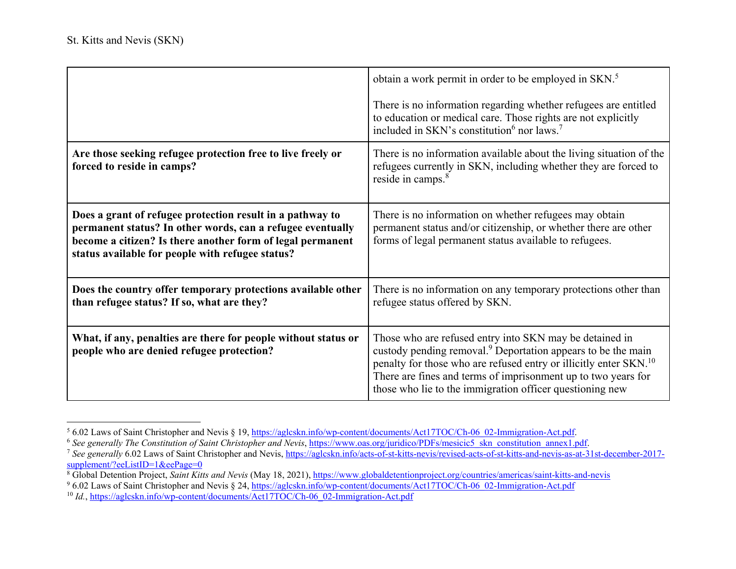|                                                                                                                                                                                                                                           | obtain a work permit in order to be employed in SKN. <sup>5</sup><br>There is no information regarding whether refugees are entitled<br>to education or medical care. Those rights are not explicitly<br>included in SKN's constitution <sup>6</sup> nor laws. <sup>7</sup>                                                                       |
|-------------------------------------------------------------------------------------------------------------------------------------------------------------------------------------------------------------------------------------------|---------------------------------------------------------------------------------------------------------------------------------------------------------------------------------------------------------------------------------------------------------------------------------------------------------------------------------------------------|
| Are those seeking refugee protection free to live freely or<br>forced to reside in camps?                                                                                                                                                 | There is no information available about the living situation of the<br>refugees currently in SKN, including whether they are forced to<br>reside in camps. <sup>8</sup>                                                                                                                                                                           |
| Does a grant of refugee protection result in a pathway to<br>permanent status? In other words, can a refugee eventually<br>become a citizen? Is there another form of legal permanent<br>status available for people with refugee status? | There is no information on whether refugees may obtain<br>permanent status and/or citizenship, or whether there are other<br>forms of legal permanent status available to refugees.                                                                                                                                                               |
| Does the country offer temporary protections available other<br>than refugee status? If so, what are they?                                                                                                                                | There is no information on any temporary protections other than<br>refugee status offered by SKN.                                                                                                                                                                                                                                                 |
| What, if any, penalties are there for people without status or<br>people who are denied refugee protection?                                                                                                                               | Those who are refused entry into SKN may be detained in<br>custody pending removal. <sup>9</sup> Deportation appears to be the main<br>penalty for those who are refused entry or illicitly enter SKN. <sup>10</sup><br>There are fines and terms of imprisonment up to two years for<br>those who lie to the immigration officer questioning new |

<sup>&</sup>lt;sup>5</sup> 6.02 Laws of Saint Christopher and Nevis § 19, https://aglcskn.info/wp-content/documents/Act17TOC/Ch-06\_02-Immigration-Act.pdf.

<sup>&</sup>lt;sup>6</sup> See generally The Constitution of Saint Christopher and Nevis, https://www.oas.org/juridico/PDFs/mesicic5\_skn\_constitution\_annex1.pdf.

<sup>7</sup> *See generally* 6.02 Laws of Saint Christopher and Nevis, https://aglcskn.info/acts-of-st-kitts-nevis/revised-acts-of-st-kitts-and-nevis-as-at-31st-december-2017 supplement/?eeListID=1&eePage=0

<sup>&</sup>lt;sup>8</sup> Global Detention Project, *Saint Kitts and Nevis* (May 18, 2021), https://www.globaldetentionproject.org/countries/americas/saint-kitts-and-nevis

<sup>&</sup>lt;sup>9</sup> 6.02 Laws of Saint Christopher and Nevis § 24, https://aglcskn.info/wp-content/documents/Act17TOC/Ch-06\_02-Immigration-Act.pdf

<sup>&</sup>lt;sup>10</sup> *Id.*, https://aglcskn.info/wp-content/documents/Act17TOC/Ch-06\_02-Immigration-Act.pdf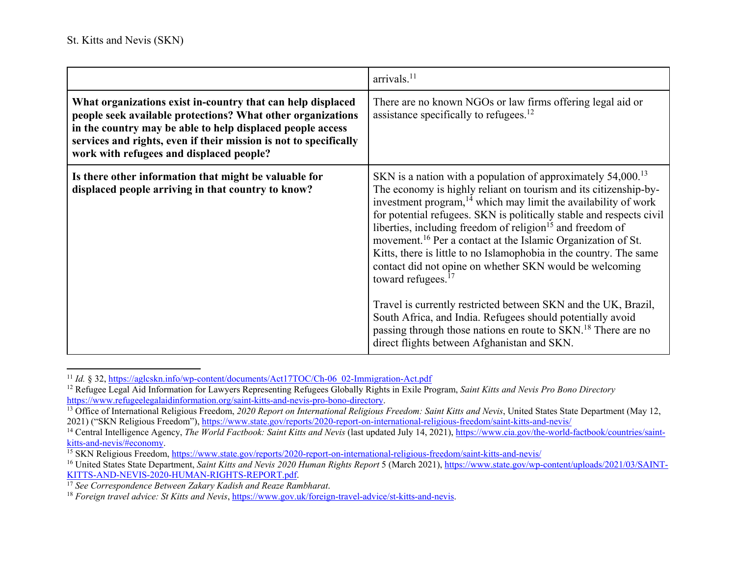|                                                                                                                                                                                                                                                                                                           | arrivals. <sup>11</sup>                                                                                                                                                                                                                                                                                                                                                                                                                                                                                                                                                                                                                                                                                                                                                                                                                                                                   |
|-----------------------------------------------------------------------------------------------------------------------------------------------------------------------------------------------------------------------------------------------------------------------------------------------------------|-------------------------------------------------------------------------------------------------------------------------------------------------------------------------------------------------------------------------------------------------------------------------------------------------------------------------------------------------------------------------------------------------------------------------------------------------------------------------------------------------------------------------------------------------------------------------------------------------------------------------------------------------------------------------------------------------------------------------------------------------------------------------------------------------------------------------------------------------------------------------------------------|
| What organizations exist in-country that can help displaced<br>people seek available protections? What other organizations<br>in the country may be able to help displaced people access<br>services and rights, even if their mission is not to specifically<br>work with refugees and displaced people? | There are no known NGOs or law firms offering legal aid or<br>assistance specifically to refugees. <sup>12</sup>                                                                                                                                                                                                                                                                                                                                                                                                                                                                                                                                                                                                                                                                                                                                                                          |
| Is there other information that might be valuable for<br>displaced people arriving in that country to know?                                                                                                                                                                                               | SKN is a nation with a population of approximately $54,000$ . <sup>13</sup><br>The economy is highly reliant on tourism and its citizenship-by-<br>investment program, <sup>14</sup> which may limit the availability of work<br>for potential refugees. SKN is politically stable and respects civil<br>liberties, including freedom of religion <sup>15</sup> and freedom of<br>movement. <sup>16</sup> Per a contact at the Islamic Organization of St.<br>Kitts, there is little to no Islamophobia in the country. The same<br>contact did not opine on whether SKN would be welcoming<br>toward refugees. <sup>17</sup><br>Travel is currently restricted between SKN and the UK, Brazil,<br>South Africa, and India. Refugees should potentially avoid<br>passing through those nations en route to SKN. <sup>18</sup> There are no<br>direct flights between Afghanistan and SKN. |

<sup>11</sup> *Id.* § 32, https://aglcskn.info/wp-content/documents/Act17TOC/Ch-06\_02-Immigration-Act.pdf

<sup>&</sup>lt;sup>12</sup> Refugee Legal Aid Information for Lawyers Representing Refugees Globally Rights in Exile Program, *Saint Kitts and Nevis Pro Bono Directory* https://www.refugeelegalaidinformation.org/saint-kitts-and-nevis-pro-bono-directory.

<sup>&</sup>lt;sup>13</sup> Office of International Religious Freedom, 2020 Report on International Religious Freedom: Saint Kitts and Nevis, United States State Department (May 12, 2021) ("SKN Religious Freedom"), https://www.state.gov/reports/2020-report-on-international-religious-freedom/saint-kitts-and-nevis/

<sup>&</sup>lt;sup>14</sup> Central Intelligence Agency, *The World Factbook: Saint Kitts and Nevis* (last updated July 14, 2021), https://www.cia.gov/the-world-factbook/countries/saintkitts-and-nevis/#economy.

<sup>&</sup>lt;sup>15</sup> SKN Religious Freedom, https://www.state.gov/reports/2020-report-on-international-religious-freedom/saint-kitts-and-nevis/

<sup>&</sup>lt;sup>16</sup> United States State Department, *Saint Kitts and Nevis 2020 Human Rights Report* 5 (March 2021), https://www.state.gov/wp-content/uploads/2021/03/SAINT-KITTS-AND-NEVIS-2020-HUMAN-RIGHTS-REPORT.pdf.

<sup>17</sup> *See Correspondence Between Zakary Kadish and Reaze Rambharat*.

<sup>18</sup> *Foreign travel advice: St Kitts and Nevis*, https://www.gov.uk/foreign-travel-advice/st-kitts-and-nevis.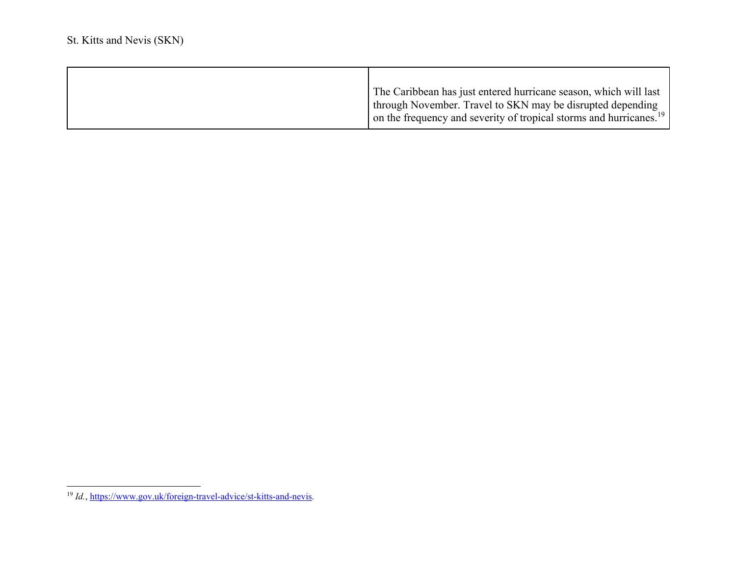| The Caribbean has just entered hurricane season, which will last<br>I through November. Travel to SKN may be disrupted depending<br>$\vert$ on the frequency and severity of tropical storms and hurricanes. <sup>19</sup> |
|----------------------------------------------------------------------------------------------------------------------------------------------------------------------------------------------------------------------------|

<sup>&</sup>lt;sup>19</sup> *Id.*, https://www.gov.uk/foreign-travel-advice/st-kitts-and-nevis.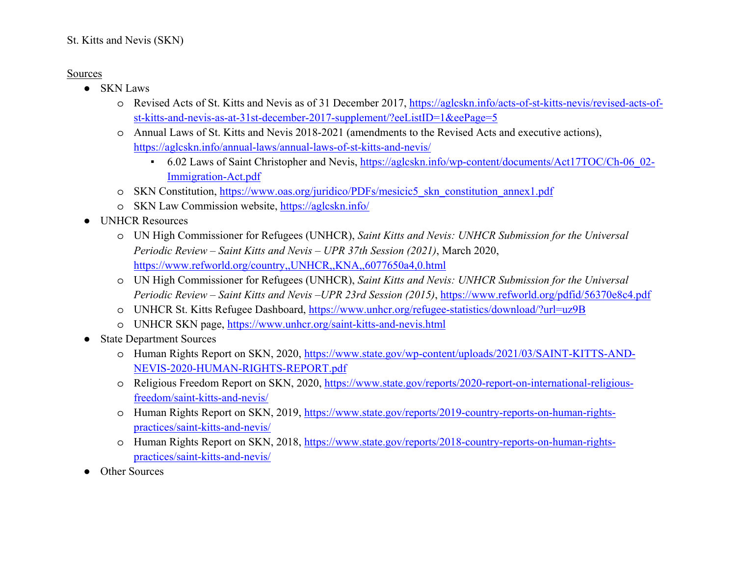## St. Kitts and Nevis (SKN)

## Sources

- SKN Laws
	- o Revised Acts of St. Kitts and Nevis as of 31 December 2017, https://aglcskn.info/acts-of-st-kitts-nevis/revised-acts-ofst-kitts-and-nevis-as-at-31st-december-2017-supplement/?eeListID=1&eePage=5
	- o Annual Laws of St. Kitts and Nevis 2018-2021 (amendments to the Revised Acts and executive actions), https://aglcskn.info/annual-laws/annual-laws-of-st-kitts-and-nevis/
		- 6.02 Laws of Saint Christopher and Nevis, https://aglcskn.info/wp-content/documents/Act17TOC/Ch-06\_02-Immigration-Act.pdf
	- o SKN Constitution, https://www.oas.org/juridico/PDFs/mesicic5\_skn\_constitution\_annex1.pdf
	- o SKN Law Commission website, https://aglcskn.info/
- $\bullet$  UNHCR Resources
	- o UN High Commissioner for Refugees (UNHCR), *Saint Kitts and Nevis: UNHCR Submission for the Universal Periodic Review – Saint Kitts and Nevis – UPR 37th Session (2021)*, March 2020, https://www.refworld.org/country,,UNHCR,,KNA,,6077650a4,0.html
	- o UN High Commissioner for Refugees (UNHCR), *Saint Kitts and Nevis: UNHCR Submission for the Universal Periodic Review – Saint Kitts and Nevis –UPR 23rd Session (2015)*, https://www.refworld.org/pdfid/56370e8c4.pdf
	- o UNHCR St. Kitts Refugee Dashboard, <u>https://www.unhcr.org/refugee-statistics/download/?url=uz9B</u>
	- o UNHCR SKN page, https://www.unhcr.org/saint-kitts-and-nevis.html
- $\bullet$  State Department Sources
	- o Human Rights Report on SKN, 2020, <u>https://www.state.gov/wp-content/uploads/2021/03/SAINT-KITTS-AND-</u> NEVIS-2020-HUMAN-RIGHTS-REPORT.pdf
	- o Religious Freedom Report on SKN, 2020, https://www.state.gov/reports/2020-report-on-international-religiousfreedom/saint-kitts-and-nevis/
	- o Human Rights Report on SKN, 2019, https://www.state.gov/reports/2019-country-reports-on-human-rightspractices/saint-kitts-and-nevis/
	- o Human Rights Report on SKN, 2018, https://www.state.gov/reports/2018-country-reports-on-human-rightspractices/saint-kitts-and-nevis/
- ●Other Sources